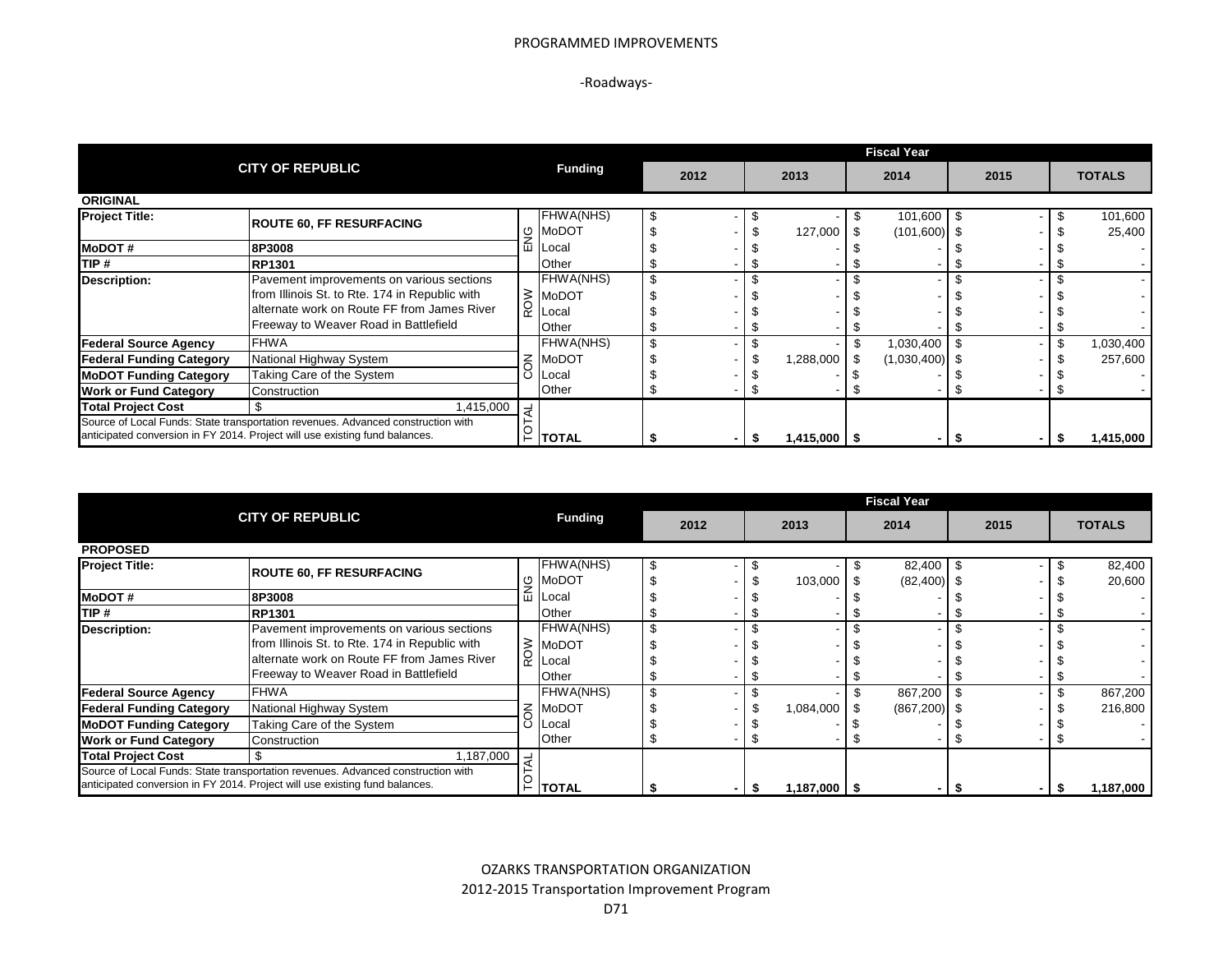### PROGRAMMED IMPROVEMENTS

# -Roadways-

|                                 |                                                                                  |                |           |  |      |  |            |  | <b>Fiscal Year</b> |      |               |
|---------------------------------|----------------------------------------------------------------------------------|----------------|-----------|--|------|--|------------|--|--------------------|------|---------------|
|                                 | <b>CITY OF REPUBLIC</b>                                                          | <b>Funding</b> |           |  | 2012 |  | 2013       |  | 2014               | 2015 | <b>TOTALS</b> |
| <b>ORIGINAL</b>                 |                                                                                  |                |           |  |      |  |            |  |                    |      |               |
| <b>Project Title:</b>           | <b>ROUTE 60, FF RESURFACING</b>                                                  |                | FHWA(NHS) |  |      |  |            |  | 101,600 \$         |      | 101,600       |
|                                 |                                                                                  | O              | MoDOT     |  |      |  | 127,000    |  | $(101,600)$ \$     |      | 25,400        |
| <b>MoDOT#</b>                   | 8P3008                                                                           | ш              | Local     |  |      |  |            |  |                    |      |               |
| ITIP #                          | <b>RP1301</b>                                                                    |                | Other     |  |      |  |            |  |                    |      |               |
| <b>Description:</b>             | Pavement improvements on various sections                                        |                | FHWA(NHS) |  |      |  |            |  |                    |      |               |
|                                 | from Illinois St. to Rte. 174 in Republic with                                   | $\geq$         | MoDOT     |  |      |  |            |  |                    |      |               |
|                                 | alternate work on Route FF from James River                                      |                | Local     |  |      |  |            |  |                    |      |               |
|                                 | Freeway to Weaver Road in Battlefield                                            |                | Other     |  |      |  |            |  |                    |      |               |
| <b>Federal Source Agency</b>    | <b>FHWA</b>                                                                      |                | FHWA(NHS) |  |      |  |            |  | 1,030,400          |      | 1,030,400     |
| <b>Federal Funding Category</b> | National Highway System                                                          | z              | MoDOT     |  |      |  | 1,288,000  |  | $(1,030,400)$ \$   |      | 257,600       |
| <b>MoDOT Funding Category</b>   | Taking Care of the System                                                        |                | Local     |  |      |  |            |  |                    |      |               |
| <b>Work or Fund Category</b>    | Construction                                                                     |                | Other     |  |      |  |            |  |                    |      |               |
| <b>Total Project Cost</b>       | 1,415,000                                                                        | ₹              |           |  |      |  |            |  |                    |      |               |
|                                 | Source of Local Funds: State transportation revenues. Advanced construction with |                |           |  |      |  |            |  |                    |      |               |
|                                 | anticipated conversion in FY 2014. Project will use existing fund balances.      |                | ⊢  TOTAL  |  |      |  | ا 415,000. |  |                    |      | 1,415,000     |

|                                                                                                                                                                 |                                                                                                                                                                                     |     |                                             |    |      |  |                  |  | <b>Fiscal Year</b>      |      |  |    |                  |
|-----------------------------------------------------------------------------------------------------------------------------------------------------------------|-------------------------------------------------------------------------------------------------------------------------------------------------------------------------------------|-----|---------------------------------------------|----|------|--|------------------|--|-------------------------|------|--|----|------------------|
|                                                                                                                                                                 | <b>CITY OF REPUBLIC</b>                                                                                                                                                             |     |                                             |    | 2012 |  | 2013             |  | 2014                    | 2015 |  |    | <b>TOTALS</b>    |
| <b>PROPOSED</b>                                                                                                                                                 |                                                                                                                                                                                     |     |                                             |    |      |  |                  |  |                         |      |  |    |                  |
| <b>Project Title:</b>                                                                                                                                           | <b>ROUTE 60, FF RESURFACING</b>                                                                                                                                                     | ৩   | <b>FHWA(NHS)</b><br><b>IMoDOT</b>           |    |      |  | 103,000          |  | 82,400<br>$(82,400)$ \$ |      |  |    | 82,400<br>20,600 |
| <b>MoDOT#</b>                                                                                                                                                   | 8P3008                                                                                                                                                                              | ш   | Local                                       |    |      |  |                  |  |                         |      |  |    |                  |
| ITIP #                                                                                                                                                          | <b>RP1301</b>                                                                                                                                                                       |     | Other                                       |    |      |  |                  |  |                         |      |  |    |                  |
| Description:                                                                                                                                                    | Pavement improvements on various sections<br>from Illinois St. to Rte. 174 in Republic with<br>alternate work on Route FF from James River<br>Freeway to Weaver Road in Battlefield | ROW | FHWA(NHS)<br><b>MoDOT</b><br>Local<br>Other | \$ |      |  |                  |  |                         |      |  |    | $\sim$           |
| <b>Federal Source Agency</b>                                                                                                                                    | <b>FHWA</b>                                                                                                                                                                         |     | FHWA(NHS)                                   | \$ |      |  |                  |  | 867,200                 |      |  |    | 867,200          |
| <b>Federal Funding Category</b>                                                                                                                                 | National Highway System                                                                                                                                                             | Š   | <b>MoDOT</b>                                |    |      |  | 1,084,000        |  | $(867,200)$ \$          |      |  |    | 216,800          |
| <b>MoDOT Funding Category</b>                                                                                                                                   | Taking Care of the System                                                                                                                                                           |     | Local                                       |    |      |  |                  |  |                         |      |  |    |                  |
| <b>Work or Fund Category</b>                                                                                                                                    | Construction                                                                                                                                                                        |     | Other                                       |    |      |  |                  |  |                         |      |  |    |                  |
| <b>Total Project Cost</b>                                                                                                                                       | 1,187,000                                                                                                                                                                           |     |                                             |    |      |  |                  |  |                         |      |  |    |                  |
| Source of Local Funds: State transportation revenues. Advanced construction with<br>anticipated conversion in FY 2014. Project will use existing fund balances. |                                                                                                                                                                                     |     | <b>TOTAL</b>                                |    |      |  | $1,187,000$   \$ |  |                         |      |  | 55 | 1,187,000        |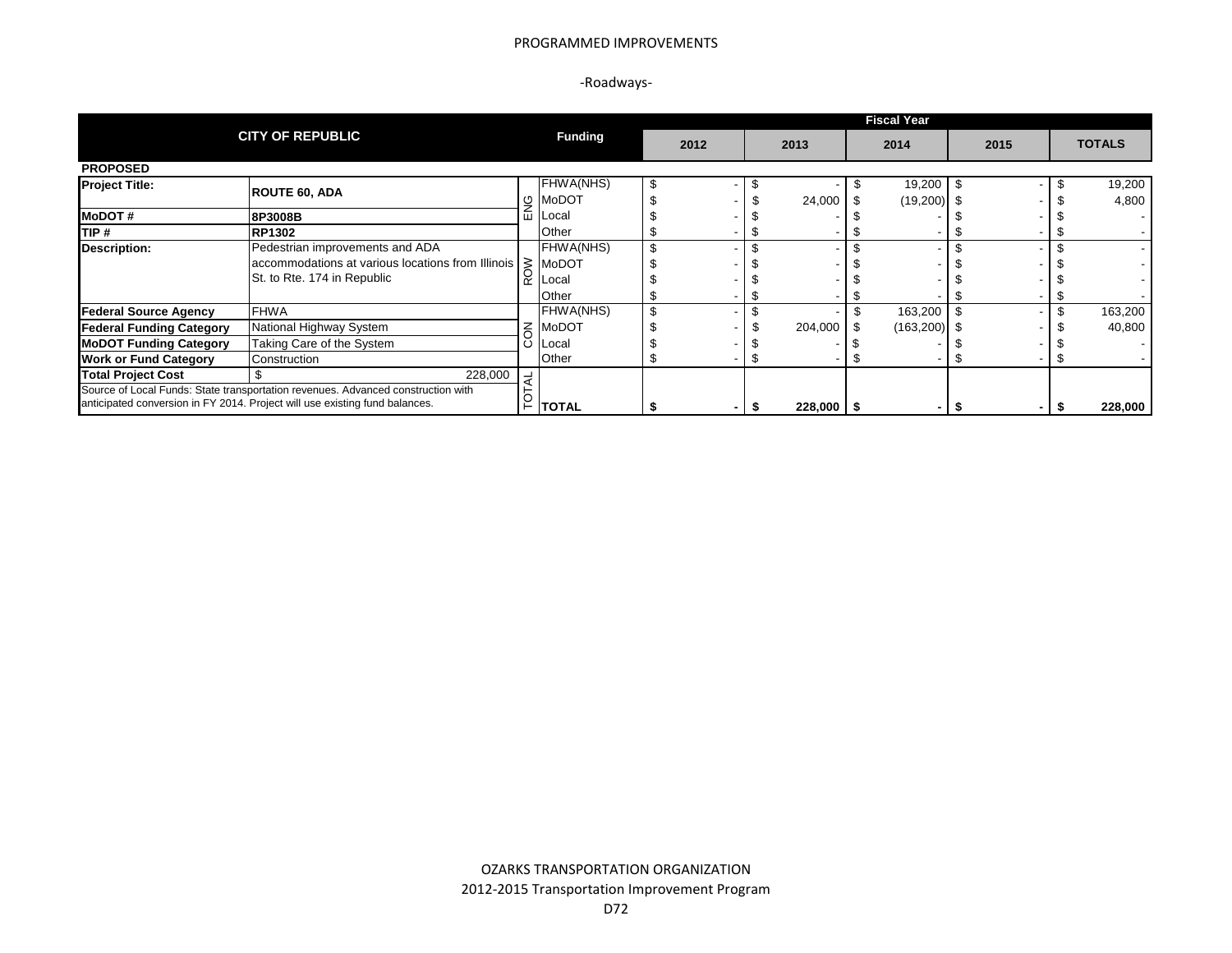### PROGRAMMED IMPROVEMENTS

# -Roadways-

|                                                                                  |                                                                             |        |              | <b>Fiscal Year</b> |      |  |         |      |                |      |  |  |               |  |  |
|----------------------------------------------------------------------------------|-----------------------------------------------------------------------------|--------|--------------|--------------------|------|--|---------|------|----------------|------|--|--|---------------|--|--|
|                                                                                  | <b>CITY OF REPUBLIC</b>                                                     |        |              |                    | 2012 |  | 2013    | 2014 |                | 2015 |  |  | <b>TOTALS</b> |  |  |
| <b>PROPOSED</b>                                                                  |                                                                             |        |              |                    |      |  |         |      |                |      |  |  |               |  |  |
| <b>Project Title:</b>                                                            | <b>ROUTE 60, ADA</b>                                                        |        | FHWA(NHS)    |                    |      |  |         |      | 19,200         |      |  |  | 19,200        |  |  |
|                                                                                  |                                                                             | ৩      | MoDOT        |                    |      |  | 24,000  |      | $(19,200)$ \$  |      |  |  | 4,800         |  |  |
| <b>IMODOT#</b>                                                                   | 8P3008B                                                                     | ш      | Local        |                    |      |  |         |      |                |      |  |  |               |  |  |
| TIP #                                                                            | <b>RP1302</b>                                                               |        | Other        |                    |      |  |         |      |                |      |  |  |               |  |  |
| <b>Description:</b>                                                              | Pedestrian improvements and ADA                                             |        | FHWA(NHS)    |                    |      |  |         |      |                |      |  |  |               |  |  |
|                                                                                  | $ $ accommodations at various locations from Illinois $\geq$ MoDOT          |        |              |                    |      |  |         |      |                |      |  |  |               |  |  |
|                                                                                  | St. to Rte. 174 in Republic                                                 |        | Local        |                    |      |  |         |      |                |      |  |  |               |  |  |
|                                                                                  |                                                                             |        | Other        |                    |      |  |         |      |                |      |  |  |               |  |  |
| <b>Federal Source Agency</b>                                                     | <b>FHWA</b>                                                                 |        | FHWA(NHS)    |                    |      |  |         |      | 163,200        |      |  |  | 163,200       |  |  |
| <b>Federal Funding Category</b>                                                  | National Highway System                                                     | $\leq$ | MoDOT        |                    |      |  | 204,000 |      | $(163,200)$ \$ |      |  |  | 40,800        |  |  |
| <b>MoDOT Funding Category</b>                                                    | Taking Care of the System                                                   |        | Local        |                    |      |  |         |      |                |      |  |  |               |  |  |
| <b>Work or Fund Category</b>                                                     | Construction                                                                |        | Other        |                    |      |  |         |      |                |      |  |  |               |  |  |
| <b>Total Project Cost</b>                                                        | 228,000                                                                     | ₹      |              |                    |      |  |         |      |                |      |  |  |               |  |  |
| Source of Local Funds: State transportation revenues. Advanced construction with |                                                                             |        |              |                    |      |  |         |      |                |      |  |  |               |  |  |
|                                                                                  | anticipated conversion in FY 2014. Project will use existing fund balances. |        | <b>TOTAL</b> |                    |      |  | 228,000 |      |                |      |  |  | 228,000       |  |  |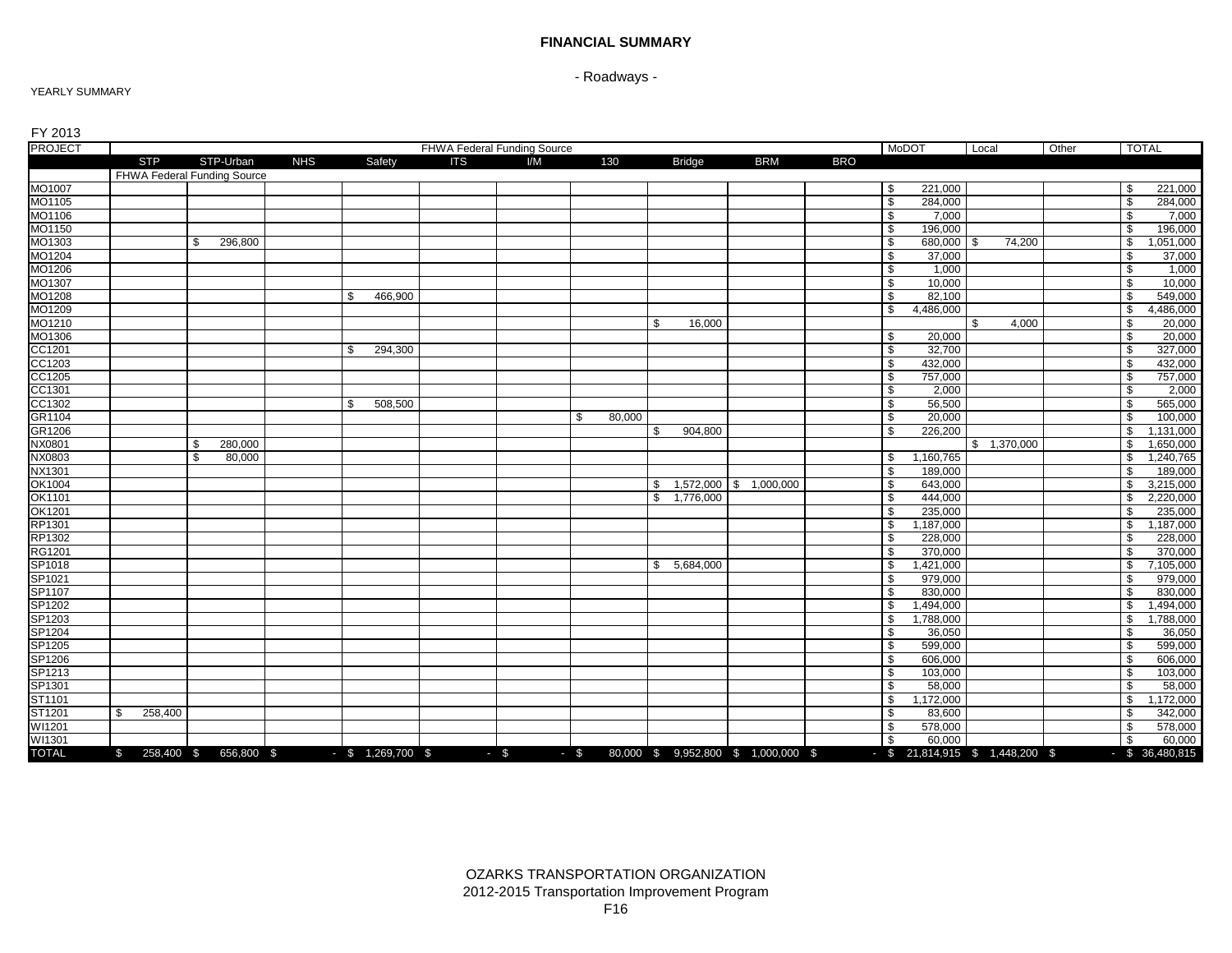### **FINANCIAL SUMMARY**

# - Roadways -

#### YEARLY SUMMARY

| FY 2013                    |                |                             |            |                     |            |                             |              |              |               |                                            |            |                                   |             |       |              |                   |
|----------------------------|----------------|-----------------------------|------------|---------------------|------------|-----------------------------|--------------|--------------|---------------|--------------------------------------------|------------|-----------------------------------|-------------|-------|--------------|-------------------|
| <b>PROJECT</b>             |                |                             |            |                     |            | FHWA Federal Funding Source |              |              |               |                                            |            | <b>MoDOT</b>                      | Local       | Other |              | <b>TOTAL</b>      |
|                            | <b>STP</b>     | STP-Urban                   | <b>NHS</b> | Safety              | <b>ITS</b> | VM                          | 130          |              | <b>Bridge</b> | <b>BRM</b>                                 | <b>BRO</b> |                                   |             |       |              |                   |
|                            |                | FHWA Federal Funding Source |            |                     |            |                             |              |              |               |                                            |            |                                   |             |       |              |                   |
| MO1007                     |                |                             |            |                     |            |                             |              |              |               |                                            |            | 221,000<br>\$                     |             |       | \$           | 221,000           |
| MO1105                     |                |                             |            |                     |            |                             |              |              |               |                                            |            | \$<br>284,000                     |             |       | $\sqrt{3}$   | 284,000           |
| MO1106                     |                |                             |            |                     |            |                             |              |              |               |                                            |            | \$<br>7.000                       |             |       | \$           | 7,000             |
| MO1150                     |                |                             |            |                     |            |                             |              |              |               |                                            |            | \$<br>196,000                     |             |       | \$           | 196,000           |
| MO1303                     |                | \$<br>296,800               |            |                     |            |                             |              |              |               |                                            |            | \$<br>680,000 \$                  | 74,200      |       | \$           | 1,051,000         |
| MO1204                     |                |                             |            |                     |            |                             |              |              |               |                                            |            | 37,000<br>\$                      |             |       | \$           | 37,000            |
| MO1206                     |                |                             |            |                     |            |                             |              |              |               |                                            |            | \$<br>1,000                       |             |       | \$           | 1,000<br>10,000   |
| MO1307                     |                |                             |            |                     |            |                             |              |              |               |                                            |            | 10,000<br>\$                      |             |       | $\mathbf{s}$ |                   |
| MO1208                     |                |                             |            | 466,900<br>\$       |            |                             |              |              |               |                                            |            | \$<br>82,100                      |             |       | \$           | 549,000           |
| MO1209                     |                |                             |            |                     |            |                             |              |              |               |                                            |            | \$<br>4,486,000                   | 4,000       |       | \$           | 4,486,000         |
| MO1210<br>MO1306           |                |                             |            |                     |            |                             |              | \$           | 16,000        |                                            |            | 20,000                            | \$          |       | \$           | 20,000<br>20,000  |
| CC1201                     |                |                             |            | 294,300<br>\$.      |            |                             |              |              |               |                                            |            | \$<br>\$<br>32,700                |             |       | \$<br>\$     | 327,000           |
|                            |                |                             |            |                     |            |                             |              |              |               |                                            |            | \$<br>432,000                     |             |       | \$           | 432,000           |
| CC1203<br>CC1205           |                |                             |            |                     |            |                             |              |              |               |                                            |            | \$<br>757,000                     |             |       | \$           | 757,000           |
|                            |                |                             |            |                     |            |                             |              |              |               |                                            |            | \$<br>2,000                       |             |       | \$           | 2,000             |
| CC1301                     |                |                             |            | \$<br>508,500       |            |                             |              |              |               |                                            |            | \$<br>56,500                      |             |       | \$           | 565,000           |
| GR1104                     |                |                             |            |                     |            |                             | 80,000<br>\$ |              |               |                                            |            | 20,000<br>\$                      |             |       | \$           | 100,000           |
| GR1206                     |                |                             |            |                     |            |                             |              | \$           | 904,800       |                                            |            | \$<br>226,200                     |             |       | \$           | 1,131,000         |
| NX0801                     |                | 280,000<br>\$               |            |                     |            |                             |              |              |               |                                            |            |                                   | \$1,370,000 |       | \$           | 1,650,000         |
| NX0803                     |                | \$<br>80,000                |            |                     |            |                             |              |              |               |                                            |            | \$<br>1,160,765                   |             |       | \$           | 1,240,765         |
| NX1301                     |                |                             |            |                     |            |                             |              |              |               |                                            |            | \$<br>189.000                     |             |       | \$           | 189,000           |
|                            |                |                             |            |                     |            |                             |              |              |               | 1,572,000 \$ 1,000,000                     |            | \$<br>643,000                     |             |       | \$           | 3,215,000         |
| OK1004<br>OK1101<br>OK1201 |                |                             |            |                     |            |                             |              | \$           | 1,776,000     |                                            |            | \$<br>444,000                     |             |       | \$           | 2,220,000         |
|                            |                |                             |            |                     |            |                             |              |              |               |                                            |            | \$<br>235,000                     |             |       | \$           | 235,000           |
| RP1301                     |                |                             |            |                     |            |                             |              |              |               |                                            |            | \$<br>1,187,000                   |             |       | \$           | 1,187,000         |
| RP1302                     |                |                             |            |                     |            |                             |              |              |               |                                            |            | \$<br>228,000                     |             |       | \$           | 228,000           |
| <b>RG1201</b>              |                |                             |            |                     |            |                             |              |              |               |                                            |            | \$<br>370.000                     |             |       | \$           | 370,000           |
| SP1018                     |                |                             |            |                     |            |                             |              | $\mathbb{S}$ | 5,684,000     |                                            |            | \$<br>1,421,000                   |             |       | \$           | 7,105,000         |
| SP1021                     |                |                             |            |                     |            |                             |              |              |               |                                            |            | \$<br>979,000                     |             |       | \$           | 979,000           |
| SP1107                     |                |                             |            |                     |            |                             |              |              |               |                                            |            | \$<br>830,000                     |             |       | \$           | 830,000           |
| SP1202                     |                |                             |            |                     |            |                             |              |              |               |                                            |            | \$<br>1,494,000                   |             |       | \$           | 1,494,000         |
|                            |                |                             |            |                     |            |                             |              |              |               |                                            |            | 1,788,000<br>\$                   |             |       | \$           | 1,788,000         |
| SP1203<br>SP1204           |                |                             |            |                     |            |                             |              |              |               |                                            |            | \$<br>36,050                      |             |       | \$           | 36,050            |
| SP1205                     |                |                             |            |                     |            |                             |              |              |               |                                            |            | \$<br>599,000                     |             |       | \$           | 599,000           |
|                            |                |                             |            |                     |            |                             |              |              |               |                                            |            | \$<br>606,000                     |             |       | \$           | 606,000           |
| SP1206<br>SP1213           |                |                             |            |                     |            |                             |              |              |               |                                            |            | \$<br>103,000                     |             |       | \$           | 103,000           |
| SP1301                     |                |                             |            |                     |            |                             |              |              |               |                                            |            | \$<br>58,000                      |             |       | \$           | 58,000            |
| ST1101                     |                |                             |            |                     |            |                             |              |              |               |                                            |            | \$<br>1,172,000                   |             |       | \$           | 1,172,000         |
| ST1201                     | 258,400<br>\$. |                             |            |                     |            |                             |              |              |               |                                            |            | \$<br>83,600                      |             |       | \$           | 342,000           |
| WI1201                     |                |                             |            |                     |            |                             |              |              |               |                                            |            | \$<br>578.000                     |             |       | \$           | 578,000           |
| WI1301                     |                |                             |            |                     |            |                             |              |              |               |                                            |            | \$<br>60,000                      |             |       | \$           | 60,000            |
| <b>TOTAL</b>               |                | \$ 258,400 \$ 656,800 \$    |            | $-$ \$ 1,269,700 \$ |            | $-$ \$                      |              |              |               | $-$ \$ 80,000 \$ 9,952,800 \$ 1,000,000 \$ |            | $-$ \$ 21,814,915 \$ 1,448,200 \$ |             |       |              | $-$ \$ 36,480,815 |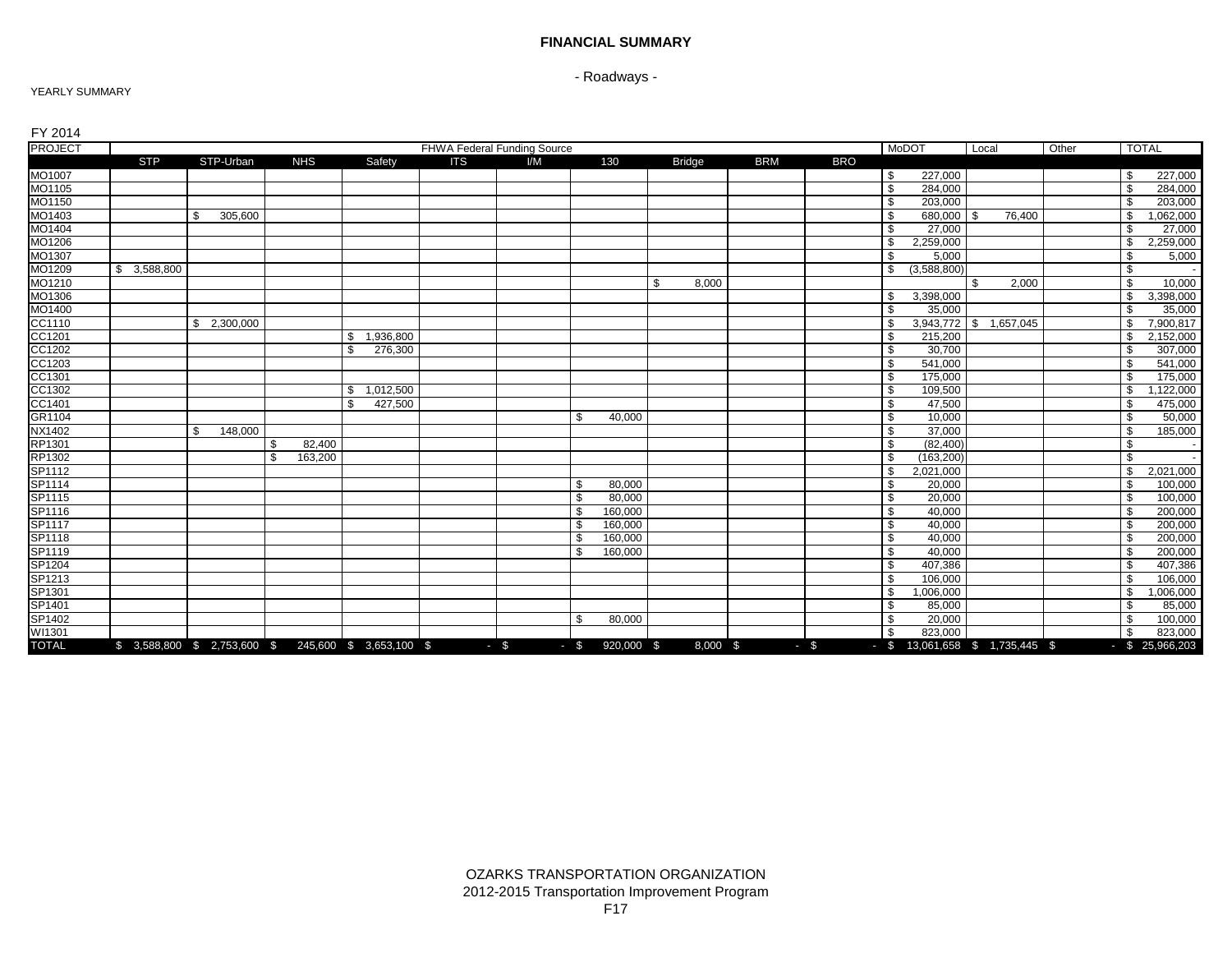### **FINANCIAL SUMMARY**

- Roadways -

### YEARLY SUMMARY

| FY 2014                                                  |            |                 |                |                                                   |                             |        |        |              |               |            |            |                                   |                        |       |              |                   |
|----------------------------------------------------------|------------|-----------------|----------------|---------------------------------------------------|-----------------------------|--------|--------|--------------|---------------|------------|------------|-----------------------------------|------------------------|-------|--------------|-------------------|
| <b>PROJECT</b>                                           |            |                 |                |                                                   | FHWA Federal Funding Source |        |        |              |               |            |            | <b>MoDOT</b>                      | Local                  | Other | <b>TOTAL</b> |                   |
|                                                          | <b>STP</b> | STP-Urban       | <b>NHS</b>     | Safety                                            | <b>ITS</b>                  | I/M    |        | 130          | <b>Bridge</b> | <b>BRM</b> | <b>BRO</b> |                                   |                        |       |              |                   |
| MO1007                                                   |            |                 |                |                                                   |                             |        |        |              |               |            |            | 227,000<br>\$                     |                        |       | S.           | 227,000           |
| MO1105                                                   |            |                 |                |                                                   |                             |        |        |              |               |            |            | \$<br>284,000                     |                        |       | \$           | 284,000           |
| MO1150                                                   |            |                 |                |                                                   |                             |        |        |              |               |            |            | \$<br>203,000                     |                        |       | \$           | 203,000           |
| MO1403                                                   |            | - \$<br>305,600 |                |                                                   |                             |        |        |              |               |            |            | \$<br>680,000 \$                  | 76,400                 |       | \$           | 1,062,000         |
| MO1404                                                   |            |                 |                |                                                   |                             |        |        |              |               |            |            | \$<br>27,000                      |                        |       | \$           | 27,000            |
| MO1206                                                   |            |                 |                |                                                   |                             |        |        |              |               |            |            | 2,259,000<br>\$                   |                        |       | \$           | 2,259,000         |
| MO1307                                                   |            |                 |                |                                                   |                             |        |        |              |               |            |            | \$<br>5,000                       |                        |       | \$           | 5,000             |
| MO1209                                                   | 3,588,800  |                 |                |                                                   |                             |        |        |              |               |            |            | (3,588,800)<br>\$                 |                        |       | \$           | $\sim$            |
| MO1210                                                   |            |                 |                |                                                   |                             |        |        |              | \$<br>8,000   |            |            |                                   | 2,000<br>\$            |       | S,           | 10,000            |
| MO1306                                                   |            |                 |                |                                                   |                             |        |        |              |               |            |            | 3,398,000<br>\$                   |                        |       | \$           | 3,398,000         |
| MO1400                                                   |            |                 |                |                                                   |                             |        |        |              |               |            |            | \$.<br>35.000                     |                        |       | \$           | 35,000            |
| CC1110                                                   |            | \$2,300,000     |                |                                                   |                             |        |        |              |               |            |            | \$                                | 3,943,772 \$ 1,657,045 |       | \$           | 7,900,817         |
| CC1201<br>CC1202<br>CC1203<br>CC1301                     |            |                 |                | 1,936,800<br>\$                                   |                             |        |        |              |               |            |            | \$<br>215,200                     |                        |       | - \$         | 2,152,000         |
|                                                          |            |                 |                | \$.<br>276,300                                    |                             |        |        |              |               |            |            | \$<br>30,700                      |                        |       | \$           | 307,000           |
|                                                          |            |                 |                |                                                   |                             |        |        |              |               |            |            | \$<br>541,000                     |                        |       | \$           | 541,000           |
|                                                          |            |                 |                |                                                   |                             |        |        |              |               |            |            | \$<br>175.000                     |                        |       | \$           | 175,000           |
| CC1302                                                   |            |                 |                | 1,012,500<br>\$                                   |                             |        |        |              |               |            |            | \$<br>109,500                     |                        |       | \$           | 1,122,000         |
| CC1401                                                   |            |                 |                | 427,500<br>\$.                                    |                             |        |        |              |               |            |            | \$<br>47,500                      |                        |       | \$           | 475,000           |
| GR1104                                                   |            |                 |                |                                                   |                             |        | \$     | 40,000       |               |            |            | \$<br>10,000                      |                        |       | \$           | 50,000            |
| NX1402                                                   |            | 148,000<br>\$   |                |                                                   |                             |        |        |              |               |            |            | \$<br>37,000                      |                        |       | \$           | 185,000           |
| RP1301                                                   |            |                 | 82,400<br>£.   |                                                   |                             |        |        |              |               |            |            | \$<br>(82, 400)                   |                        |       | \$           | $\sim$            |
| RP1302                                                   |            |                 | 163,200<br>-\$ |                                                   |                             |        |        |              |               |            |            | (163, 200)<br>\$                  |                        |       | \$           | $\sim$            |
| SP1112<br>SP1114<br>SP1115<br>SP1116<br>SP1117<br>SP1117 |            |                 |                |                                                   |                             |        |        |              |               |            |            | 2,021,000<br>\$                   |                        |       | \$           | 2,021,000         |
|                                                          |            |                 |                |                                                   |                             |        | \$     | 80,000       |               |            |            | \$<br>20,000                      |                        |       | \$           | 100,000           |
|                                                          |            |                 |                |                                                   |                             |        | \$     | 80,000       |               |            |            | \$<br>20,000                      |                        |       | \$           | 100,000           |
|                                                          |            |                 |                |                                                   |                             |        | \$     | 160,000      |               |            |            | \$<br>40,000                      |                        |       | \$           | 200,000           |
|                                                          |            |                 |                |                                                   |                             |        | \$     | 160,000      |               |            |            | \$<br>40,000                      |                        |       | \$           | 200,000           |
|                                                          |            |                 |                |                                                   |                             |        | \$     | 160,000      |               |            |            | \$<br>40,000                      |                        |       | \$           | 200,000           |
| SP1119                                                   |            |                 |                |                                                   |                             |        | \$     | 160,000      |               |            |            | \$<br>40,000                      |                        |       | \$           | 200,000           |
| SP1204                                                   |            |                 |                |                                                   |                             |        |        |              |               |            |            | \$<br>407,386                     |                        |       | \$           | 407,386           |
| SP1213                                                   |            |                 |                |                                                   |                             |        |        |              |               |            |            | \$<br>106,000                     |                        |       | \$           | 106,000           |
| SP1301                                                   |            |                 |                |                                                   |                             |        |        |              |               |            |            | 1,006,000<br>\$                   |                        |       | \$           | 1,006,000         |
| SP1401                                                   |            |                 |                |                                                   |                             |        |        |              |               |            |            | 85,000<br>\$                      |                        |       | \$           | 85,000            |
| SP1402                                                   |            |                 |                |                                                   |                             |        | \$     | 80,000       |               |            |            | \$<br>20,000                      |                        |       | \$           | 100,000           |
| WI1301                                                   |            |                 |                |                                                   |                             |        |        |              |               |            |            | \$<br>823,000                     |                        |       | \$           | 823,000           |
| <b>TOTAL</b>                                             |            |                 |                | $$3,588,800 \$2,753,600 \$245,600 \$3,653,100 \$$ |                             | $-$ \$ | $-$ \$ | $920,000$ \$ | 8,000 \$      |            | $-$ \$     | $-$ \$ 13,061,658 \$ 1,735,445 \$ |                        |       |              | $-$ \$ 25,966,203 |